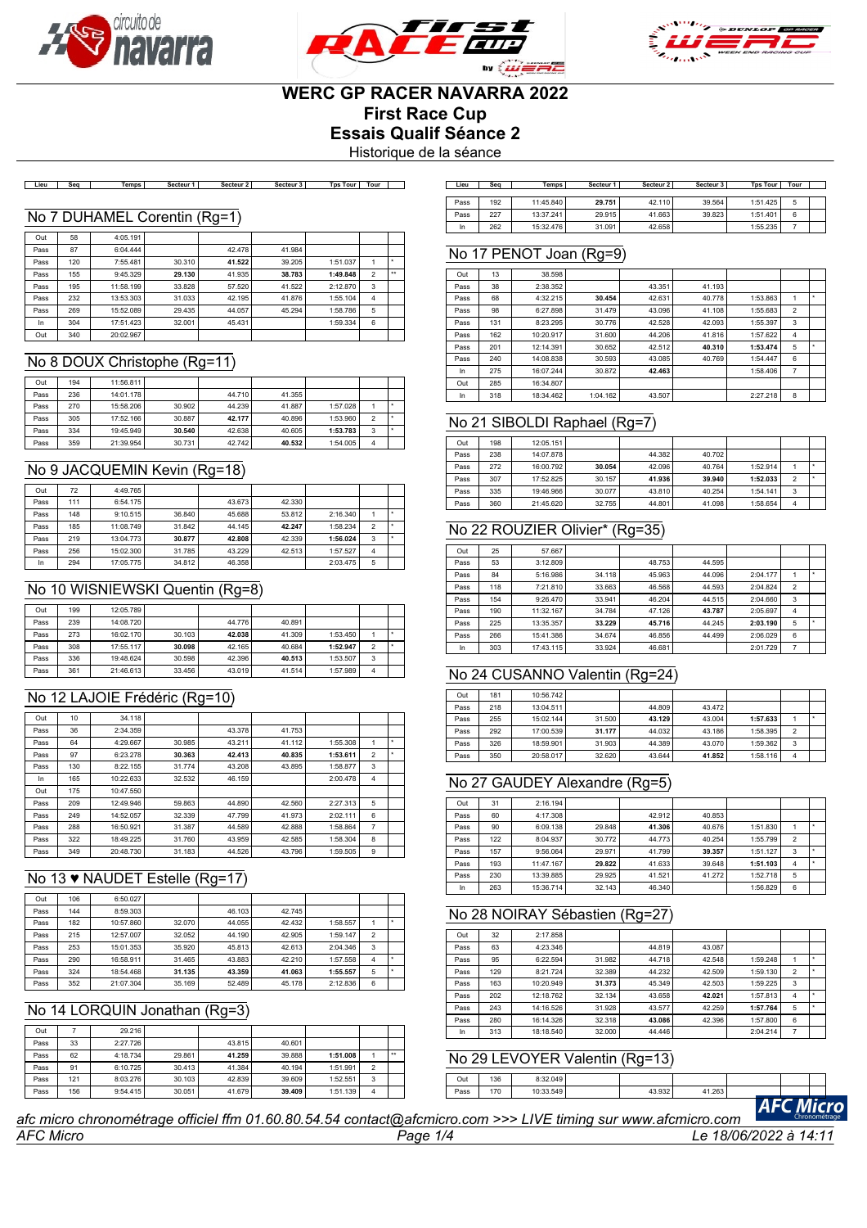





# **WERC GP RACER NAVARRA 2022**

**First Race Cup**

**Essais Qualif Séance 2**

Historique de la séance

Lieu Seq | Temps | Secteur 1 | Secteur 2 | Secteur 3 | Tps Tour | Tour | ]

#### No 7 DUHAMEL Corentin (Rg=1)

| Out  | 58  | 4:05.191  |        |        |        |          |                |              |
|------|-----|-----------|--------|--------|--------|----------|----------------|--------------|
| Pass | 87  | 6:04.444  |        | 42.478 | 41.984 |          |                |              |
| Pass | 120 | 7:55.481  | 30.310 | 41.522 | 39.205 | 1:51.037 |                | ٠            |
| Pass | 155 | 9:45.329  | 29.130 | 41.935 | 38.783 | 1:49.848 | $\overline{2}$ | $\star\star$ |
| Pass | 195 | 11:58.199 | 33.828 | 57.520 | 41.522 | 2:12.870 | 3              |              |
| Pass | 232 | 13:53.303 | 31.033 | 42.195 | 41.876 | 1:55.104 | 4              |              |
| Pass | 269 | 15:52.089 | 29.435 | 44.057 | 45.294 | 1:58.786 | 5              |              |
| In   | 304 | 17:51.423 | 32.001 | 45.431 |        | 1:59.334 | 6              |              |
| Out  | 340 | 20:02.967 |        |        |        |          |                |              |

#### No 8 DOUX Christophe (Rg=11)

| Out  | 194 | 11:56.811 |        |        |        |          |                |  |
|------|-----|-----------|--------|--------|--------|----------|----------------|--|
| Pass | 236 | 14:01.178 |        | 44.710 | 41.355 |          |                |  |
| Pass | 270 | 15:58.206 | 30.902 | 44.239 | 41.887 | 1:57.028 |                |  |
| Pass | 305 | 17:52.166 | 30.887 | 42.177 | 40.896 | 1:53.960 | $\overline{2}$ |  |
| Pass | 334 | 19:45.949 | 30.540 | 42.638 | 40.605 | 1:53.783 | 3              |  |
| Pass | 359 | 21:39.954 | 30.731 | 42.742 | 40.532 | 1:54.005 | 4              |  |

## No 9 JACQUEMIN Kevin (Rg=18)

| Out  | 72  | 4:49.765  |        |        |        |          |   |  |
|------|-----|-----------|--------|--------|--------|----------|---|--|
| Pass | 111 | 6:54.175  |        | 43.673 | 42.330 |          |   |  |
| Pass | 148 | 9:10.515  | 36,840 | 45.688 | 53.812 | 2:16.340 |   |  |
| Pass | 185 | 11:08.749 | 31.842 | 44.145 | 42.247 | 1:58.234 | 2 |  |
| Pass | 219 | 13:04.773 | 30.877 | 42.808 | 42.339 | 1:56.024 | 3 |  |
| Pass | 256 | 15:02.300 | 31.785 | 43.229 | 42.513 | 1:57.527 | 4 |  |
| In   | 294 | 17:05.775 | 34.812 | 46.358 |        | 2:03.475 | 5 |  |

#### No 10 WISNIEWSKI Quentin (Rg=8)

| Out  | 199 | 12:05.789 |        |        |        |          |   |  |
|------|-----|-----------|--------|--------|--------|----------|---|--|
| Pass | 239 | 14:08.720 |        | 44.776 | 40.891 |          |   |  |
| Pass | 273 | 16:02.170 | 30.103 | 42.038 | 41.309 | 1:53.450 |   |  |
| Pass | 308 | 17:55.117 | 30.098 | 42.165 | 40.684 | 1:52.947 | 2 |  |
| Pass | 336 | 19:48.624 | 30.598 | 42.396 | 40.513 | 1:53.507 | 3 |  |
| Pass | 361 | 21:46.613 | 33.456 | 43.019 | 41.514 | 1:57.989 | Δ |  |

#### No 12 LAJOIE Frédéric (Rg=10)

| Out  | 10  | 34.118    |        |        |        |          |                |   |
|------|-----|-----------|--------|--------|--------|----------|----------------|---|
| Pass | 36  | 2:34.359  |        | 43.378 | 41.753 |          |                |   |
| Pass | 64  | 4:29.667  | 30.985 | 43.211 | 41.112 | 1:55.308 | 1              | ٠ |
| Pass | 97  | 6:23.278  | 30.363 | 42.413 | 40.835 | 1:53.611 | $\overline{2}$ |   |
| Pass | 130 | 8:22.155  | 31.774 | 43.208 | 43.895 | 1:58.877 | 3              |   |
| In   | 165 | 10:22.633 | 32.532 | 46.159 |        | 2:00.478 | 4              |   |
| Out  | 175 | 10:47.550 |        |        |        |          |                |   |
| Pass | 209 | 12:49.946 | 59.863 | 44.890 | 42.560 | 2:27.313 | 5              |   |
| Pass | 249 | 14:52.057 | 32.339 | 47.799 | 41.973 | 2:02.111 | 6              |   |
| Pass | 288 | 16:50.921 | 31.387 | 44.589 | 42.888 | 1:58.864 | $\overline{7}$ |   |
| Pass | 322 | 18:49.225 | 31.760 | 43.959 | 42.585 | 1:58.304 | 8              |   |
| Pass | 349 | 20:48.730 | 31.183 | 44.526 | 43.796 | 1:59.505 | 9              |   |

## No 13 ♥ NAUDET Estelle (Rg=17)

| Out  | 106 | 6:50.027  |        |        |        |          |                |  |
|------|-----|-----------|--------|--------|--------|----------|----------------|--|
| Pass | 144 | 8:59.303  |        | 46.103 | 42.745 |          |                |  |
| Pass | 182 | 10:57.860 | 32.070 | 44.055 | 42.432 | 1:58.557 |                |  |
| Pass | 215 | 12:57.007 | 32.052 | 44.190 | 42.905 | 1:59.147 | $\overline{2}$ |  |
| Pass | 253 | 15:01.353 | 35.920 | 45.813 | 42.613 | 2:04.346 | 3              |  |
| Pass | 290 | 16:58.911 | 31.465 | 43.883 | 42.210 | 1:57.558 | 4              |  |
| Pass | 324 | 18:54.468 | 31.135 | 43.359 | 41.063 | 1:55.557 | 5              |  |
| Pass | 352 | 21:07.304 | 35.169 | 52.489 | 45.178 | 2:12.836 | 6              |  |

#### No 14 LORQUIN Jonathan (Rg=3)

| Out  |     | 29.216   |        |        |        |          |                          |                      |
|------|-----|----------|--------|--------|--------|----------|--------------------------|----------------------|
| Pass | 33  | 2:27.726 |        | 43.815 | 40.601 |          |                          |                      |
| Pass | 62  | 4:18.734 | 29.861 | 41.259 | 39,888 | 1:51.008 |                          | $\ddot{\phantom{1}}$ |
| Pass | 91  | 6:10.725 | 30.413 | 41.384 | 40.194 | 1:51.991 | $\overline{\phantom{a}}$ |                      |
| Pass | 121 | 8:03.276 | 30.103 | 42.839 | 39,609 | 1:52.551 | 3                        |                      |
| Pass | 156 | 9:54.415 | 30.051 | 41.679 | 39.409 | 1:51.139 | 4                        |                      |

| Lieu | Sea | Temps     | Secteur 1 | Secteur 2 | Secteur 3 | <b>Tps Tour</b> | Tour |  |
|------|-----|-----------|-----------|-----------|-----------|-----------------|------|--|
|      |     |           |           |           |           |                 |      |  |
| Pass | 192 | 11:45.840 | 29.751    | 42.110    | 39.564    | 1:51.425        | 5    |  |
| Pass | 227 | 13:37.241 | 29.915    | 41.663    | 39.823    | 1:51.401        | 6    |  |
| In   | 262 | 15:32.476 | 31.091    | 42.658    |           | 1:55.235        |      |  |

## No 17 PENOT Joan (Rg=9)

| Out  | 13  | 38.598    |          |        |        |          |                |   |
|------|-----|-----------|----------|--------|--------|----------|----------------|---|
| Pass | 38  | 2:38.352  |          | 43.351 | 41.193 |          |                |   |
| Pass | 68  | 4:32.215  | 30.454   | 42.631 | 40.778 | 1:53.863 | 1              | ٠ |
| Pass | 98  | 6:27.898  | 31.479   | 43.096 | 41.108 | 1:55.683 | $\overline{2}$ |   |
| Pass | 131 | 8:23.295  | 30.776   | 42.528 | 42.093 | 1:55.397 | 3              |   |
| Pass | 162 | 10:20.917 | 31,600   | 44.206 | 41.816 | 1:57.622 | $\overline{4}$ |   |
| Pass | 201 | 12:14.391 | 30.652   | 42.512 | 40.310 | 1:53.474 | 5              | ٠ |
| Pass | 240 | 14:08.838 | 30.593   | 43.085 | 40.769 | 1:54.447 | 6              |   |
| In   | 275 | 16:07.244 | 30.872   | 42.463 |        | 1:58.406 | 7              |   |
| Out  | 285 | 16:34.807 |          |        |        |          |                |   |
| In   | 318 | 18:34.462 | 1:04.162 | 43.507 |        | 2:27.218 | 8              |   |

#### No 21 SIBOLDI Raphael (Rg=7)

| Out  | 198 | 12:05.151 |        |        |        |          |                |  |
|------|-----|-----------|--------|--------|--------|----------|----------------|--|
| Pass | 238 | 14:07.878 |        | 44.382 | 40.702 |          |                |  |
| Pass | 272 | 16:00.792 | 30.054 | 42.096 | 40.764 | 1:52.914 |                |  |
| Pass | 307 | 17:52.825 | 30.157 | 41.936 | 39.940 | 1:52.033 | $\overline{2}$ |  |
| Pass | 335 | 19:46.966 | 30.077 | 43.810 | 40.254 | 1:54.141 | 3              |  |
| Pass | 360 | 21:45.620 | 32.755 | 44.801 | 41.098 | 1:58.654 | 4              |  |

#### No 22 ROUZIER Olivier\* (Rg=35)

| Out  | 25  | 57.667    |        |        |        |          |                |   |
|------|-----|-----------|--------|--------|--------|----------|----------------|---|
| Pass | 53  | 3:12.809  |        | 48.753 | 44.595 |          |                |   |
| Pass | 84  | 5:16.986  | 34.118 | 45.963 | 44.096 | 2:04.177 |                | ٠ |
| Pass | 118 | 7:21.810  | 33.663 | 46.568 | 44.593 | 2:04.824 | $\overline{2}$ |   |
| Pass | 154 | 9:26.470  | 33.941 | 46.204 | 44.515 | 2:04.660 | 3              |   |
| Pass | 190 | 11:32.167 | 34.784 | 47.126 | 43.787 | 2:05.697 | 4              |   |
| Pass | 225 | 13:35.357 | 33.229 | 45.716 | 44.245 | 2:03.190 | 5              | ٠ |
| Pass | 266 | 15:41.386 | 34.674 | 46.856 | 44.499 | 2:06.029 | 6              |   |
| In   | 303 | 17:43.115 | 33.924 | 46.681 |        | 2:01.729 | 7              |   |

#### No 24 CUSANNO Valentin (Rg=24)

| Out  | 181 | 10:56.742 |        |        |        |          |                          |  |
|------|-----|-----------|--------|--------|--------|----------|--------------------------|--|
| Pass | 218 | 13:04.511 |        | 44.809 | 43.472 |          |                          |  |
| Pass | 255 | 15:02.144 | 31.500 | 43.129 | 43.004 | 1:57.633 |                          |  |
| Pass | 292 | 17:00.539 | 31.177 | 44.032 | 43.186 | 1:58.395 | $\overline{\phantom{a}}$ |  |
| Pass | 326 | 18:59.901 | 31.903 | 44.389 | 43.070 | 1:59.362 | 3                        |  |
| Pass | 350 | 20:58.017 | 32.620 | 43.644 | 41.852 | 1:58.116 | 4                        |  |

## No 27 GAUDEY Alexandre (Rg=5)

| Out  | 31  | 2:16.194  |        |        |        |          |                |  |
|------|-----|-----------|--------|--------|--------|----------|----------------|--|
| Pass | 60  | 4:17.308  |        | 42.912 | 40.853 |          |                |  |
| Pass | 90  | 6:09.138  | 29.848 | 41.306 | 40.676 | 1:51.830 |                |  |
| Pass | 122 | 8:04.937  | 30.772 | 44.773 | 40.254 | 1:55.799 | $\overline{2}$ |  |
| Pass | 157 | 9:56.064  | 29.971 | 41.799 | 39.357 | 1:51.127 | 3              |  |
| Pass | 193 | 11:47.167 | 29.822 | 41.633 | 39.648 | 1:51.103 | 4              |  |
| Pass | 230 | 13:39.885 | 29.925 | 41.521 | 41.272 | 1:52.718 | 5              |  |
| In   | 263 | 15:36.714 | 32.143 | 46.340 |        | 1:56.829 | 6              |  |

#### No 28 NOIRAY Sébastien (Rg=27)

| Out  | 32  | 2:17.858  |        |        |        |          |                |   |
|------|-----|-----------|--------|--------|--------|----------|----------------|---|
| Pass | 63  | 4:23.346  |        | 44.819 | 43.087 |          |                |   |
| Pass | 95  | 6:22.594  | 31.982 | 44.718 | 42.548 | 1:59.248 |                | ٠ |
| Pass | 129 | 8:21.724  | 32.389 | 44.232 | 42.509 | 1:59.130 | $\overline{2}$ | ٠ |
| Pass | 163 | 10:20.949 | 31.373 | 45.349 | 42.503 | 1:59.225 | 3              |   |
| Pass | 202 | 12:18.762 | 32.134 | 43.658 | 42.021 | 1:57.813 | 4              | ٠ |
| Pass | 243 | 14:16.526 | 31.928 | 43.577 | 42.259 | 1:57.764 | 5              | ٠ |
| Pass | 280 | 16:14.326 | 32.318 | 43.086 | 42.396 | 1:57.800 | 6              |   |
| In   | 313 | 18:18.540 | 32.000 | 44.446 |        | 2:04.214 | 7              |   |

### No 29 LEVOYER Valentin (Rg=13)

Pass 170 10:33.549 43.932 41.263

Out 136 8:32.049



*AFC Micro Page 1/4 Le 18/06/2022 à 14:11 afc micro chronométrage officiel ffm 01.60.80.54.54 contact@afcmicro.com >>> LIVE timing sur www.afcmicro.com*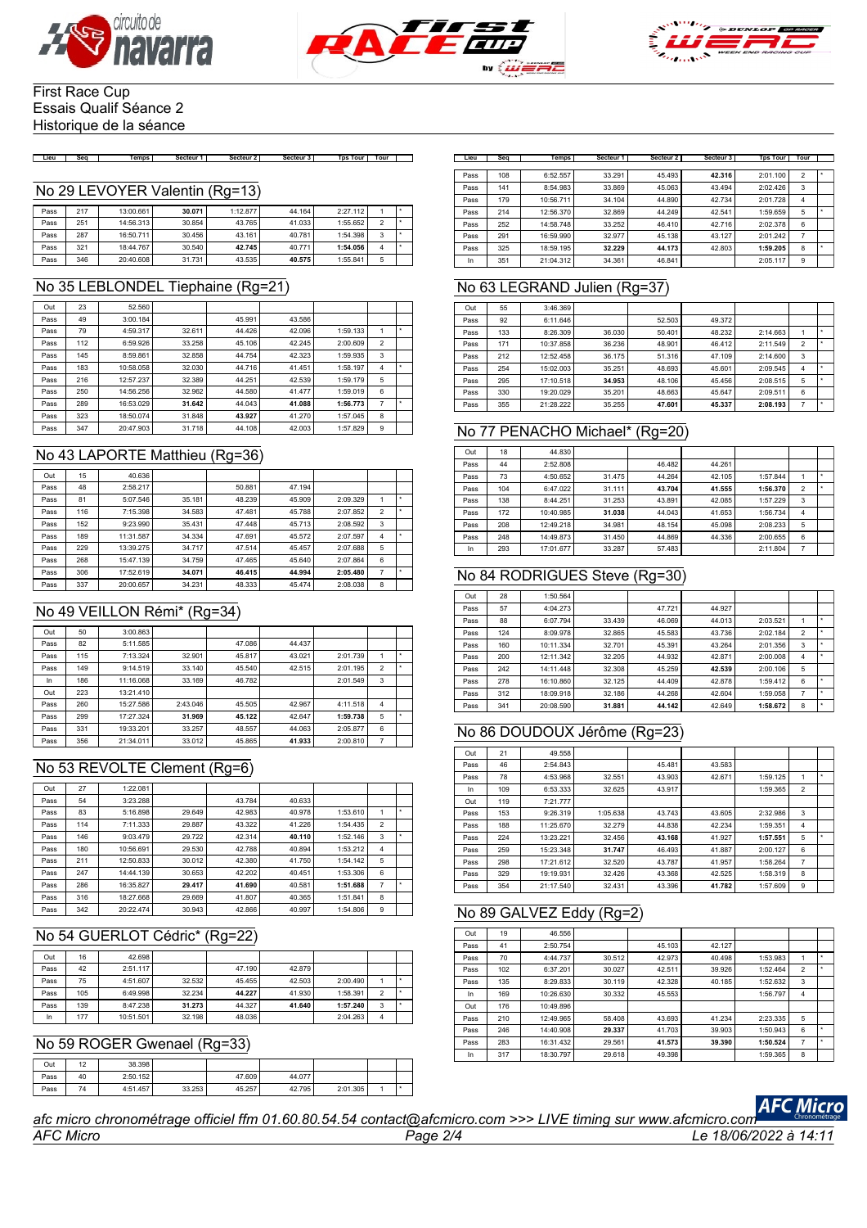





#### First Race Cup Essais Qualif Séance 2 Historique de la séance

Lieu | Seq | Temps | Secteur 1 | Secteur 2 | Secteur 3 | Tps Tour | Tour | |

#### No 29 LEVOYER Valentin (Rg=13)

| Pass | 217 | 13:00.661 | 30.071 | 1:12.877 | 44.164 | 2:27.112 |   |  |
|------|-----|-----------|--------|----------|--------|----------|---|--|
| Pass | 251 | 14:56.313 | 30.854 | 43.765   | 41.033 | 1:55.652 | C |  |
| Pass | 287 | 16:50.711 | 30.456 | 43.161   | 40.781 | 1:54.398 | 3 |  |
| Pass | 321 | 18:44.767 | 30.540 | 42.745   | 40.771 | 1:54.056 | 4 |  |
| Pass | 346 | 20:40.608 | 31.731 | 43.535   | 40.575 | 1:55.841 | 5 |  |

## No 35 LEBLONDEL Tiephaine (Rg=21)

| Out  | 23  | 52.560    |        |        |        |          |                |  |
|------|-----|-----------|--------|--------|--------|----------|----------------|--|
| Pass | 49  | 3:00.184  |        | 45.991 | 43.586 |          |                |  |
| Pass | 79  | 4:59.317  | 32.611 | 44.426 | 42.096 | 1:59.133 |                |  |
| Pass | 112 | 6:59.926  | 33.258 | 45.106 | 42.245 | 2:00.609 | $\overline{2}$ |  |
| Pass | 145 | 8:59.861  | 32.858 | 44.754 | 42.323 | 1:59.935 | 3              |  |
| Pass | 183 | 10:58.058 | 32.030 | 44.716 | 41.451 | 1:58.197 | 4              |  |
| Pass | 216 | 12:57.237 | 32.389 | 44.251 | 42.539 | 1:59.179 | 5              |  |
| Pass | 250 | 14:56.256 | 32.962 | 44.580 | 41.477 | 1:59.019 | 6              |  |
| Pass | 289 | 16:53.029 | 31.642 | 44.043 | 41.088 | 1:56.773 | 7              |  |
| Pass | 323 | 18:50.074 | 31,848 | 43.927 | 41.270 | 1:57.045 | 8              |  |
| Pass | 347 | 20:47.903 | 31.718 | 44.108 | 42.003 | 1:57.829 | 9              |  |

#### No 43 LAPORTE Matthieu (Rg=36)

| Out  | 15  | 40.636    |        |        |        |          |                |  |
|------|-----|-----------|--------|--------|--------|----------|----------------|--|
| Pass | 48  | 2:58.217  |        | 50.881 | 47.194 |          |                |  |
| Pass | 81  | 5:07.546  | 35.181 | 48.239 | 45.909 | 2:09.329 |                |  |
| Pass | 116 | 7:15.398  | 34.583 | 47.481 | 45.788 | 2:07.852 | 2              |  |
| Pass | 152 | 9:23.990  | 35.431 | 47.448 | 45.713 | 2:08.592 | 3              |  |
| Pass | 189 | 11:31.587 | 34.334 | 47.691 | 45.572 | 2:07.597 | 4              |  |
| Pass | 229 | 13:39.275 | 34.717 | 47.514 | 45.457 | 2:07.688 | 5              |  |
| Pass | 268 | 15:47.139 | 34.759 | 47.465 | 45.640 | 2:07.864 | 6              |  |
| Pass | 306 | 17:52.619 | 34.071 | 46.415 | 44.994 | 2:05.480 | $\overline{7}$ |  |
| Pass | 337 | 20:00.657 | 34.231 | 48.333 | 45.474 | 2:08.038 | 8              |  |

## No 49 VEILLON Rémi\* (Rg=34)

| Out  | 50  | 3:00.863  |          |        |        |          |                |  |
|------|-----|-----------|----------|--------|--------|----------|----------------|--|
| Pass | 82  | 5:11.585  |          | 47.086 | 44.437 |          |                |  |
| Pass | 115 | 7:13.324  | 32.901   | 45.817 | 43.021 | 2:01.739 |                |  |
| Pass | 149 | 9:14.519  | 33.140   | 45.540 | 42.515 | 2:01.195 | $\overline{2}$ |  |
| In   | 186 | 11:16.068 | 33.169   | 46.782 |        | 2:01.549 | 3              |  |
| Out  | 223 | 13:21.410 |          |        |        |          |                |  |
| Pass | 260 | 15:27.586 | 2:43.046 | 45.505 | 42.967 | 4:11.518 | $\overline{4}$ |  |
| Pass | 299 | 17:27.324 | 31.969   | 45.122 | 42.647 | 1:59.738 | 5              |  |
| Pass | 331 | 19:33.201 | 33.257   | 48.557 | 44.063 | 2:05.877 | 6              |  |
| Pass | 356 | 21:34.011 | 33.012   | 45.865 | 41.933 | 2:00.810 | 7              |  |

#### No 53 REVOLTE Clement (Rg=6)

| Out  | 27  | 1:22.081  |        |        |        |          |                |   |
|------|-----|-----------|--------|--------|--------|----------|----------------|---|
| Pass | 54  | 3:23.288  |        | 43.784 | 40.633 |          |                |   |
| Pass | 83  | 5:16.898  | 29.649 | 42.983 | 40.978 | 1:53.610 | 1              | ٠ |
| Pass | 114 | 7:11.333  | 29.887 | 43.322 | 41.226 | 1:54.435 | $\overline{2}$ |   |
| Pass | 146 | 9:03.479  | 29.722 | 42.314 | 40.110 | 1:52.146 | 3              |   |
| Pass | 180 | 10:56.691 | 29.530 | 42.788 | 40.894 | 1:53.212 | $\overline{4}$ |   |
| Pass | 211 | 12:50.833 | 30.012 | 42.380 | 41.750 | 1:54.142 | 5              |   |
| Pass | 247 | 14:44.139 | 30.653 | 42.202 | 40.451 | 1:53.306 | 6              |   |
| Pass | 286 | 16:35.827 | 29.417 | 41.690 | 40.581 | 1:51.688 | 7              |   |
| Pass | 316 | 18:27.668 | 29.669 | 41.807 | 40.365 | 1:51.841 | 8              |   |
| Pass | 342 | 20:22.474 | 30.943 | 42.866 | 40.997 | 1:54.806 | 9              |   |

## No 54 GUERLOT Cédric\* (Rg=22)

| Out  | 16  | 42.698    |        |        |        |          |                |  |
|------|-----|-----------|--------|--------|--------|----------|----------------|--|
| Pass | 42  | 2:51.117  |        | 47.190 | 42.879 |          |                |  |
| Pass | 75  | 4:51.607  | 32.532 | 45.455 | 42.503 | 2:00.490 |                |  |
| Pass | 105 | 6:49.998  | 32.234 | 44.227 | 41.930 | 1:58.391 | 2              |  |
| Pass | 139 | 8:47.238  | 31.273 | 44.327 | 41.640 | 1:57.240 | 3              |  |
| In   | 177 | 10:51.501 | 32.198 | 48.036 |        | 2:04.263 | $\overline{4}$ |  |

## No 59 ROGER Gwenael (Rg=33)

| Out  | 12 | 38.398   |        |        |        |          |  |
|------|----|----------|--------|--------|--------|----------|--|
| Pass | 40 | 2:50.152 |        | 47.609 | 44.077 |          |  |
| Pass | 74 | 4:51.457 | 33.253 | 45.257 | 42.795 | 2:01.305 |  |

| Lieu | Sea | <b>Temps</b> | Secteur 1 | Secteur <sub>2</sub> | Secteur 3 | <b>Tps Tour</b> | Tour           |   |
|------|-----|--------------|-----------|----------------------|-----------|-----------------|----------------|---|
|      |     |              |           |                      |           |                 |                |   |
| Pass | 108 | 6:52.557     | 33.291    | 45.493               | 42.316    | 2:01.100        | $\overline{2}$ | ٠ |
| Pass | 141 | 8:54.983     | 33.869    | 45.063               | 43.494    | 2:02.426        | 3              |   |
| Pass | 179 | 10:56.711    | 34.104    | 44.890               | 42.734    | 2:01.728        | 4              |   |
| Pass | 214 | 12:56.370    | 32.869    | 44.249               | 42.541    | 1:59.659        | 5              | ٠ |
| Pass | 252 | 14:58.748    | 33.252    | 46.410               | 42.716    | 2:02.378        | 6              |   |
| Pass | 291 | 16:59.990    | 32.977    | 45.138               | 43.127    | 2:01.242        | 7              |   |
| Pass | 325 | 18:59.195    | 32.229    | 44.173               | 42.803    | 1:59.205        | 8              | ٠ |
| In   | 351 | 21:04.312    | 34.361    | 46.841               |           | 2:05.117        | 9              |   |

## No 63 LEGRAND Julien (Rg=37)

| Out  | 55  | 3:46.369  |        |        |        |          |                |  |
|------|-----|-----------|--------|--------|--------|----------|----------------|--|
| Pass | 92  | 6:11.646  |        | 52.503 | 49.372 |          |                |  |
| Pass | 133 | 8:26.309  | 36.030 | 50.401 | 48.232 | 2:14.663 |                |  |
| Pass | 171 | 10:37.858 | 36.236 | 48.901 | 46.412 | 2:11.549 | $\overline{2}$ |  |
| Pass | 212 | 12:52.458 | 36.175 | 51.316 | 47.109 | 2:14.600 | 3              |  |
| Pass | 254 | 15:02.003 | 35.251 | 48.693 | 45.601 | 2:09.545 | 4              |  |
| Pass | 295 | 17:10.518 | 34.953 | 48.106 | 45.456 | 2:08.515 | 5              |  |
| Pass | 330 | 19:20.029 | 35.201 | 48.663 | 45.647 | 2:09.511 | 6              |  |
| Pass | 355 | 21:28.222 | 35.255 | 47.601 | 45.337 | 2:08.193 |                |  |

## No 77 PENACHO Michael\* (Rg=20)

| Out  | 18  | 44.830    |        |        |        |          |                |  |
|------|-----|-----------|--------|--------|--------|----------|----------------|--|
| Pass | 44  | 2:52.808  |        | 46.482 | 44.261 |          |                |  |
| Pass | 73  | 4:50.652  | 31.475 | 44.264 | 42.105 | 1:57.844 |                |  |
| Pass | 104 | 6:47.022  | 31.111 | 43.704 | 41.555 | 1:56.370 | $\overline{2}$ |  |
| Pass | 138 | 8:44.251  | 31.253 | 43.891 | 42.085 | 1:57.229 | 3              |  |
| Pass | 172 | 10:40.985 | 31.038 | 44.043 | 41.653 | 1:56.734 | 4              |  |
| Pass | 208 | 12:49.218 | 34.981 | 48.154 | 45.098 | 2:08.233 | 5              |  |
| Pass | 248 | 14:49.873 | 31.450 | 44.869 | 44.336 | 2:00.655 | 6              |  |
| In   | 293 | 17:01.677 | 33.287 | 57.483 |        | 2:11.804 | 7              |  |

#### No 84 RODRIGUES Steve (Rg=30)

| Out  | 28  | 1:50.564  |        |        |        |          |                |   |
|------|-----|-----------|--------|--------|--------|----------|----------------|---|
| Pass | 57  | 4:04.273  |        | 47.721 | 44.927 |          |                |   |
| Pass | 88  | 6:07.794  | 33.439 | 46.069 | 44.013 | 2:03.521 | 1              |   |
| Pass | 124 | 8:09.978  | 32.865 | 45.583 | 43.736 | 2:02.184 | $\overline{2}$ |   |
| Pass | 160 | 10:11.334 | 32.701 | 45.391 | 43.264 | 2:01.356 | 3              | ٠ |
| Pass | 200 | 12:11.342 | 32.205 | 44.932 | 42.871 | 2:00.008 | 4              | ٠ |
| Pass | 242 | 14:11.448 | 32.308 | 45.259 | 42.539 | 2:00.106 | 5              |   |
| Pass | 278 | 16:10.860 | 32.125 | 44.409 | 42.878 | 1:59.412 | 6              |   |
| Pass | 312 | 18:09.918 | 32.186 | 44.268 | 42.604 | 1:59.058 | 7              |   |
| Pass | 341 | 20:08.590 | 31.881 | 44.142 | 42.649 | 1:58.672 | 8              | ٠ |

#### No 86 DOUDOUX Jérôme (Rg=23)

| Out  | 21  | 49.558    |          |        |        |          |                |   |
|------|-----|-----------|----------|--------|--------|----------|----------------|---|
| Pass | 46  | 2:54.843  |          | 45.481 | 43.583 |          |                |   |
| Pass | 78  | 4:53.968  | 32.551   | 43.903 | 42.671 | 1:59.125 |                |   |
| In   | 109 | 6:53.333  | 32.625   | 43.917 |        | 1:59.365 | $\overline{2}$ |   |
| Out  | 119 | 7:21.777  |          |        |        |          |                |   |
| Pass | 153 | 9:26.319  | 1:05.638 | 43.743 | 43.605 | 2:32.986 | 3              |   |
| Pass | 188 | 11:25.670 | 32.279   | 44.838 | 42.234 | 1:59.351 | 4              |   |
| Pass | 224 | 13:23.221 | 32.456   | 43.168 | 41.927 | 1:57.551 | 5              | ٠ |
| Pass | 259 | 15:23.348 | 31.747   | 46.493 | 41.887 | 2:00.127 | 6              |   |
| Pass | 298 | 17:21.612 | 32.520   | 43.787 | 41.957 | 1:58.264 | 7              |   |
| Pass | 329 | 19:19.931 | 32.426   | 43.368 | 42.525 | 1:58.319 | 8              |   |
| Pass | 354 | 21:17.540 | 32.431   | 43.396 | 41.782 | 1:57.609 | 9              |   |

## No 89 GALVEZ Eddy (Rg=2)

| Out  | 19  | 46.556    |        |        |        |          |                |   |
|------|-----|-----------|--------|--------|--------|----------|----------------|---|
| Pass | 41  | 2:50.754  |        | 45.103 | 42.127 |          |                |   |
| Pass | 70  | 4:44.737  | 30.512 | 42.973 | 40.498 | 1:53.983 | 1              | ٠ |
| Pass | 102 | 6:37.201  | 30.027 | 42.511 | 39.926 | 1:52.464 | $\overline{2}$ | ٠ |
| Pass | 135 | 8:29.833  | 30.119 | 42.328 | 40.185 | 1:52.632 | 3              |   |
| In   | 169 | 10:26.630 | 30.332 | 45.553 |        | 1:56.797 | 4              |   |
| Out  | 176 | 10:49.896 |        |        |        |          |                |   |
| Pass | 210 | 12:49.965 | 58,408 | 43.693 | 41.234 | 2:23.335 | 5              |   |
| Pass | 246 | 14:40.908 | 29.337 | 41.703 | 39.903 | 1:50.943 | 6              | ٠ |
| Pass | 283 | 16:31.432 | 29.561 | 41.573 | 39.390 | 1:50.524 | 7              | ٠ |
| In   | 317 | 18:30.797 | 29.618 | 49.398 |        | 1:59.365 | 8              |   |



*AFC Micro Page 2/4 Le 18/06/2022 à 14:11 afc micro chronométrage officiel ffm 01.60.80.54.54 contact@afcmicro.com >>> LIVE timing sur www.afcmicro.com*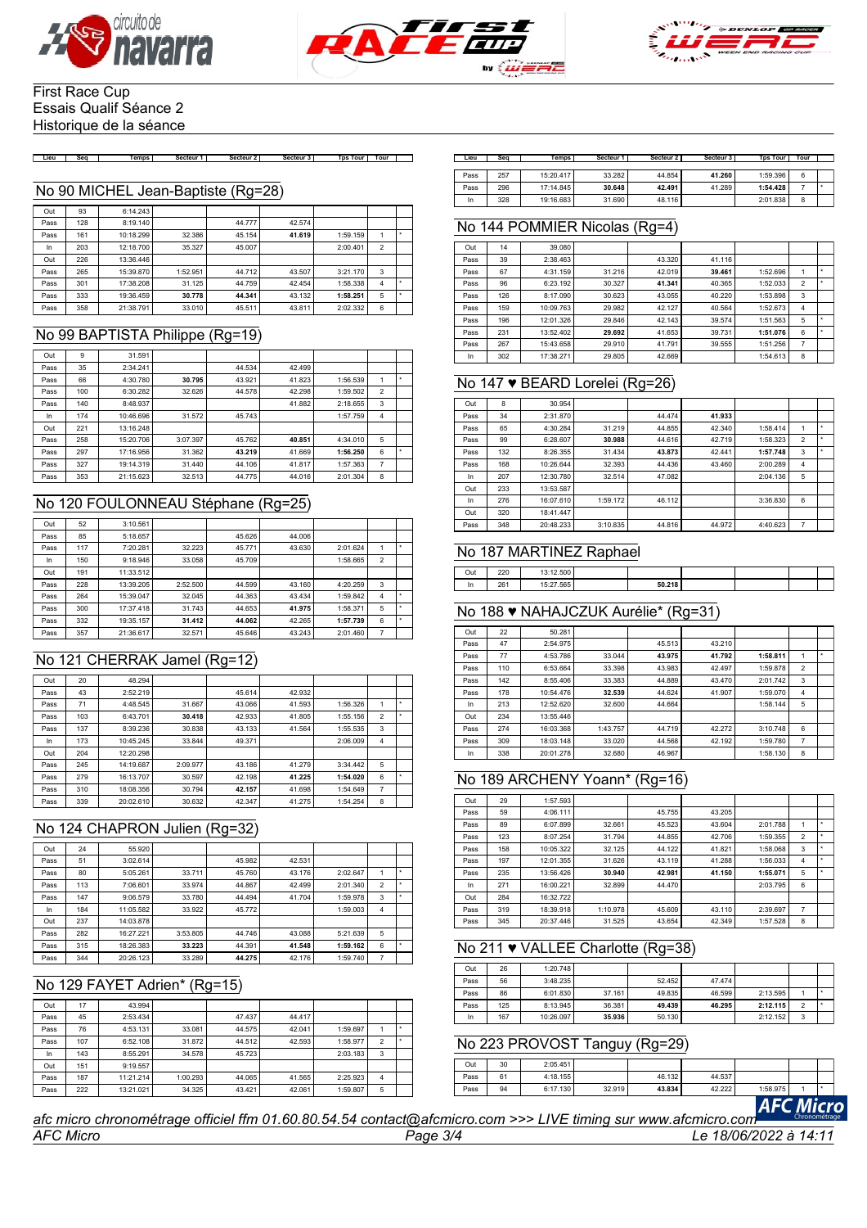





#### First Race Cup Essais Qualif Séance 2 Historique de la séance

Lieu | Seq | Temps | Secteur 1 | Secteur 2 | Secteur 3 | Tps Tour | Tour | |

#### No 90 MICHEL Jean-Baptiste (Rg=28)

| Out  | 93  | 6:14.243  |          |        |        |          |                |  |
|------|-----|-----------|----------|--------|--------|----------|----------------|--|
| Pass | 128 | 8:19.140  |          | 44.777 | 42.574 |          |                |  |
| Pass | 161 | 10:18.299 | 32.386   | 45.154 | 41.619 | 1:59.159 |                |  |
| In   | 203 | 12:18.700 | 35.327   | 45.007 |        | 2:00.401 | $\overline{2}$ |  |
| Out  | 226 | 13:36.446 |          |        |        |          |                |  |
| Pass | 265 | 15:39.870 | 1:52.951 | 44.712 | 43.507 | 3:21.170 | 3              |  |
| Pass | 301 | 17:38.208 | 31.125   | 44.759 | 42.454 | 1:58.338 | $\overline{4}$ |  |
| Pass | 333 | 19:36.459 | 30.778   | 44.341 | 43.132 | 1:58.251 | 5              |  |
| Pass | 358 | 21:38.791 | 33,010   | 45.511 | 43.811 | 2:02.332 | 6              |  |

## No 99 BAPTISTA Philippe (Rg=19)

| Out  | 9   | 31.591    |          |        |        |          |                |  |
|------|-----|-----------|----------|--------|--------|----------|----------------|--|
| Pass | 35  | 2:34.241  |          | 44.534 | 42.499 |          |                |  |
| Pass | 66  | 4:30.780  | 30.795   | 43.921 | 41.823 | 1:56.539 |                |  |
| Pass | 100 | 6:30.282  | 32.626   | 44.578 | 42.298 | 1:59.502 | $\overline{2}$ |  |
| Pass | 140 | 8:48.937  |          |        | 41.882 | 2:18.655 | 3              |  |
| In   | 174 | 10:46.696 | 31.572   | 45.743 |        | 1:57.759 | 4              |  |
| Out  | 221 | 13:16.248 |          |        |        |          |                |  |
| Pass | 258 | 15:20.706 | 3:07.397 | 45.762 | 40.851 | 4:34.010 | 5              |  |
| Pass | 297 | 17:16.956 | 31.362   | 43.219 | 41.669 | 1:56.250 | 6              |  |
| Pass | 327 | 19:14.319 | 31,440   | 44.106 | 41.817 | 1:57.363 | 7              |  |
| Pass | 353 | 21:15.623 | 32.513   | 44.775 | 44.016 | 2:01.304 | 8              |  |

## No 120 FOULONNEAU Stéphane (Rg=25)

| Out  | 52  | 3:10.561  |          |        |        |          |                |  |
|------|-----|-----------|----------|--------|--------|----------|----------------|--|
| Pass | 85  | 5:18.657  |          | 45.626 | 44.006 |          |                |  |
| Pass | 117 | 7:20.281  | 32.223   | 45.771 | 43.630 | 2:01.624 |                |  |
| In   | 150 | 9:18.946  | 33.058   | 45.709 |        | 1:58.665 | $\overline{2}$ |  |
| Out  | 191 | 11:33.512 |          |        |        |          |                |  |
| Pass | 228 | 13:39.205 | 2:52.500 | 44.599 | 43.160 | 4:20.259 | 3              |  |
| Pass | 264 | 15:39.047 | 32.045   | 44.363 | 43.434 | 1:59.842 | 4              |  |
| Pass | 300 | 17:37.418 | 31.743   | 44.653 | 41.975 | 1:58.371 | 5              |  |
| Pass | 332 | 19:35.157 | 31.412   | 44.062 | 42.265 | 1:57.739 | 6              |  |
| Pass | 357 | 21:36.617 | 32.571   | 45.646 | 43.243 | 2:01.460 | 7              |  |

## No 121 CHERRAK Jamel (Rg=12)

| Out  | 20  | 48.294    |          |        |        |          |                |   |
|------|-----|-----------|----------|--------|--------|----------|----------------|---|
| Pass | 43  | 2:52.219  |          | 45.614 | 42.932 |          |                |   |
| Pass | 71  | 4:48.545  | 31.667   | 43.066 | 41.593 | 1:56.326 | 1              | ٠ |
| Pass | 103 | 6:43.701  | 30.418   | 42.933 | 41.805 | 1:55.156 | $\overline{2}$ | ٠ |
| Pass | 137 | 8:39.236  | 30.838   | 43.133 | 41.564 | 1:55.535 | 3              |   |
| In   | 173 | 10:45.245 | 33.844   | 49.371 |        | 2:06.009 | 4              |   |
| Out  | 204 | 12:20.298 |          |        |        |          |                |   |
| Pass | 245 | 14:19.687 | 2:09.977 | 43.186 | 41.279 | 3:34.442 | 5              |   |
| Pass | 279 | 16:13.707 | 30.597   | 42.198 | 41.225 | 1:54.020 | 6              | ٠ |
| Pass | 310 | 18:08.356 | 30.794   | 42.157 | 41.698 | 1:54.649 | 7              |   |
| Pass | 339 | 20:02.610 | 30.632   | 42.347 | 41.275 | 1:54.254 | 8              |   |
|      |     |           |          |        |        |          |                |   |

## No 124 CHAPRON Julien (Rg=32)

| Out  | 24  | 55.920    |          |        |        |          |                |   |
|------|-----|-----------|----------|--------|--------|----------|----------------|---|
| Pass | 51  | 3:02.614  |          | 45.982 | 42.531 |          |                |   |
| Pass | 80  | 5:05.261  | 33.711   | 45.760 | 43.176 | 2:02.647 | 1              | ٠ |
| Pass | 113 | 7:06.601  | 33.974   | 44.867 | 42.499 | 2:01.340 | $\overline{2}$ | ٠ |
| Pass | 147 | 9:06.579  | 33.780   | 44.494 | 41.704 | 1:59.978 | 3              | ٠ |
| In   | 184 | 11:05.582 | 33.922   | 45.772 |        | 1:59.003 | 4              |   |
| Out  | 237 | 14:03.878 |          |        |        |          |                |   |
| Pass | 282 | 16:27.221 | 3:53.805 | 44.746 | 43.088 | 5:21.639 | 5              |   |
| Pass | 315 | 18:26.383 | 33.223   | 44.391 | 41.548 | 1:59.162 | 6              | ٠ |
| Pass | 344 | 20:26.123 | 33.289   | 44.275 | 42.176 | 1:59.740 | 7              |   |

## No 129 FAYET Adrien\* (Rg=15)

| Out  | 17  | 43.994    |          |        |        |          |                |   |
|------|-----|-----------|----------|--------|--------|----------|----------------|---|
| Pass | 45  | 2:53.434  |          | 47.437 | 44.417 |          |                |   |
| Pass | 76  | 4:53.131  | 33.081   | 44.575 | 42.041 | 1:59.697 |                | ٠ |
| Pass | 107 | 6:52.108  | 31.872   | 44.512 | 42.593 | 1:58.977 | $\overline{2}$ |   |
| In   | 143 | 8:55.291  | 34.578   | 45.723 |        | 2:03.183 | 3              |   |
| Out  | 151 | 9:19.557  |          |        |        |          |                |   |
| Pass | 187 | 11:21.214 | 1:00.293 | 44.065 | 41.565 | 2:25.923 | 4              |   |
| Pass | 222 | 13:21.021 | 34.325   | 43.421 | 42.061 | 1:59.807 | 5              |   |

| Lieu | Sea | Temps     | Secteur 1 | Secteur 2 | Secteur 3 | <b>Tps Tour</b> | Tour |  |
|------|-----|-----------|-----------|-----------|-----------|-----------------|------|--|
|      |     |           |           |           |           |                 |      |  |
| Pass | 257 | 15:20.417 | 33.282    | 44.854    | 41.260    | 1:59.396        | 6    |  |
| Pass | 296 | 17:14.845 | 30.648    | 42.491    | 41.289    | 1:54.428        |      |  |
| In   | 328 | 19:16.683 | 31.690    | 48.116    |           | 2:01.838        | 8    |  |

## No 144 POMMIER Nicolas (Rg=4)

| Out  | 14  | 39.080    |        |        |        |          |                |   |
|------|-----|-----------|--------|--------|--------|----------|----------------|---|
| Pass | 39  | 2:38.463  |        | 43.320 | 41.116 |          |                |   |
| Pass | 67  | 4:31.159  | 31.216 | 42.019 | 39.461 | 1:52.696 |                | ٠ |
| Pass | 96  | 6:23.192  | 30.327 | 41.341 | 40.365 | 1:52.033 | $\overline{2}$ | ٠ |
| Pass | 126 | 8:17.090  | 30.623 | 43.055 | 40.220 | 1:53.898 | 3              |   |
| Pass | 159 | 10:09.763 | 29.982 | 42.127 | 40.564 | 1:52.673 | 4              |   |
| Pass | 196 | 12:01.326 | 29.846 | 42.143 | 39.574 | 1:51.563 | 5              | ٠ |
| Pass | 231 | 13:52.402 | 29.692 | 41.653 | 39.731 | 1:51.076 | 6              | ٠ |
| Pass | 267 | 15:43.658 | 29.910 | 41.791 | 39.555 | 1:51.256 | 7              |   |
| In   | 302 | 17:38.271 | 29.805 | 42.669 |        | 1:54.613 | 8              |   |

## No 147 ♥ BEARD Lorelei (Rg=26)

| Out  | 8   | 30.954    |          |        |        |          |                |   |
|------|-----|-----------|----------|--------|--------|----------|----------------|---|
| Pass | 34  | 2:31.870  |          | 44.474 | 41.933 |          |                |   |
| Pass | 65  | 4:30.284  | 31.219   | 44.855 | 42.340 | 1:58.414 |                |   |
| Pass | 99  | 6:28.607  | 30.988   | 44.616 | 42.719 | 1:58.323 | $\overline{2}$ | ٠ |
| Pass | 132 | 8:26.355  | 31.434   | 43.873 | 42.441 | 1:57.748 | 3              |   |
| Pass | 168 | 10:26.644 | 32.393   | 44.436 | 43.460 | 2:00.289 | 4              |   |
| In   | 207 | 12:30.780 | 32.514   | 47.082 |        | 2:04.136 | 5              |   |
| Out  | 233 | 13:53.587 |          |        |        |          |                |   |
| In.  | 276 | 16:07.610 | 1:59.172 | 46.112 |        | 3:36.830 | 6              |   |
| Out  | 320 | 18:41.447 |          |        |        |          |                |   |
| Pass | 348 | 20:48.233 | 3:10.835 | 44.816 | 44.972 | 4:40.623 | 7              |   |

#### No 187 MARTINEZ Raphael

| Out | חרר<br><u>__</u><br>and the control of the con- | $- - -$    |        |  |  |
|-----|-------------------------------------------------|------------|--------|--|--|
|     | 26                                              | <b>COC</b> | 50.218 |  |  |

## No 188 ♥ NAHAJCZUK Aurélie\* (Rg=31)

| Out  | 22  | 50.281    |          |        |        |          |                |   |
|------|-----|-----------|----------|--------|--------|----------|----------------|---|
| Pass | 47  | 2:54.975  |          | 45.513 | 43.210 |          |                |   |
| Pass | 77  | 4:53.786  | 33.044   | 43.975 | 41.792 | 1:58.811 | 1              | ٠ |
| Pass | 110 | 6:53.664  | 33.398   | 43.983 | 42.497 | 1:59.878 | $\overline{2}$ |   |
| Pass | 142 | 8:55.406  | 33.383   | 44.889 | 43.470 | 2:01.742 | 3              |   |
| Pass | 178 | 10:54.476 | 32.539   | 44.624 | 41.907 | 1:59.070 | $\overline{4}$ |   |
| In   | 213 | 12:52.620 | 32,600   | 44.664 |        | 1:58.144 | 5              |   |
| Out  | 234 | 13:55.446 |          |        |        |          |                |   |
| Pass | 274 | 16:03.368 | 1:43.757 | 44.719 | 42.272 | 3:10.748 | 6              |   |
| Pass | 309 | 18:03.148 | 33.020   | 44.568 | 42.192 | 1:59.780 | $\overline{7}$ |   |
| In   | 338 | 20:01.278 | 32.680   | 46.967 |        | 1:58.130 | 8              |   |

#### No 189 ARCHENY Yoann\* (Rg=16)

| Out  | 29  | 1:57.593  |          |        |        |          |                |   |
|------|-----|-----------|----------|--------|--------|----------|----------------|---|
| Pass | 59  | 4:06.111  |          | 45.755 | 43.205 |          |                |   |
| Pass | 89  | 6:07.899  | 32.661   | 45.523 | 43.604 | 2:01.788 |                | ٠ |
| Pass | 123 | 8:07.254  | 31.794   | 44.855 | 42.706 | 1:59.355 | $\overline{2}$ | ٠ |
| Pass | 158 | 10:05.322 | 32.125   | 44.122 | 41.821 | 1:58.068 | 3              | ٠ |
| Pass | 197 | 12:01.355 | 31.626   | 43.119 | 41.288 | 1:56.033 | 4              | ٠ |
| Pass | 235 | 13:56.426 | 30.940   | 42.981 | 41.150 | 1:55.071 | 5              | ٠ |
| In   | 271 | 16:00.221 | 32.899   | 44.470 |        | 2:03.795 | 6              |   |
| Out  | 284 | 16:32.722 |          |        |        |          |                |   |
| Pass | 319 | 18:39.918 | 1:10.978 | 45.609 | 43.110 | 2:39.697 | $\overline{7}$ |   |
| Pass | 345 | 20:37.446 | 31.525   | 43.654 | 42.349 | 1:57.528 | 8              |   |

## No 211 ♥ VALLEE Charlotte (Rg=38)

| Out  | 26  | 1:20.748  |        |        |        |          |        |  |
|------|-----|-----------|--------|--------|--------|----------|--------|--|
| Pass | 56  | 3:48.235  |        | 52.452 | 47.474 |          |        |  |
| Pass | 86  | 6:01.830  | 37.161 | 49.835 | 46.599 | 2:13.595 |        |  |
| Pass | 125 | 8:13.945  | 36.381 | 49.439 | 46.295 | 2:12.115 | $\sim$ |  |
| In   | 167 | 10:26.097 | 35.936 | 50.130 |        | 2:12.152 | 3      |  |

## No 223 PROVOST Tanguy (Rg=29)

|      | <b>Ticro</b> |          |        |        |        |          |  |  |  |  |
|------|--------------|----------|--------|--------|--------|----------|--|--|--|--|
| Pass | 94           | 6:17.130 | 32.919 | 43.834 | 42.222 | 1:58.975 |  |  |  |  |
| Pass | 61           | 4:18.155 |        | 46.132 | 44.537 |          |  |  |  |  |
| Out  | 30           | 2:05.451 |        |        |        |          |  |  |  |  |
|      |              |          |        |        |        |          |  |  |  |  |

*AFC Micro Page 3/4 Le 18/06/2022 à 14:11 afc micro chronométrage officiel ffm 01.60.80.54.54 contact@afcmicro.com >>> LIVE timing sur www.afcmicro.com*

 $\overline{Out}$